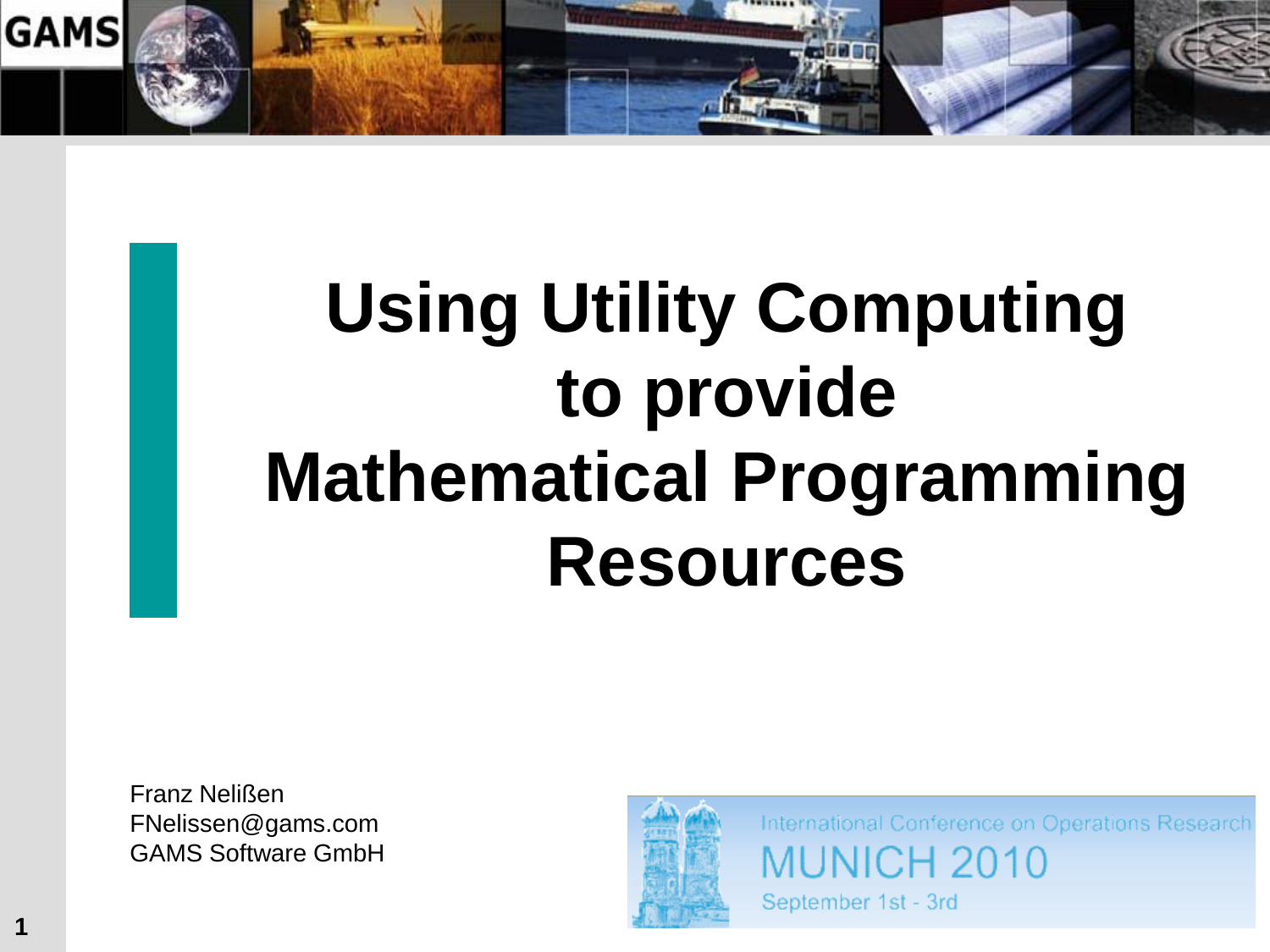

# **Using Utility Computing to provide Mathematical Programming Resources**

Franz Nelißen FNelissen@gams.com GAMS Software GmbH

**1**



International Conference on Operations Research **MUNICH 2010** 

September 1st - 3rd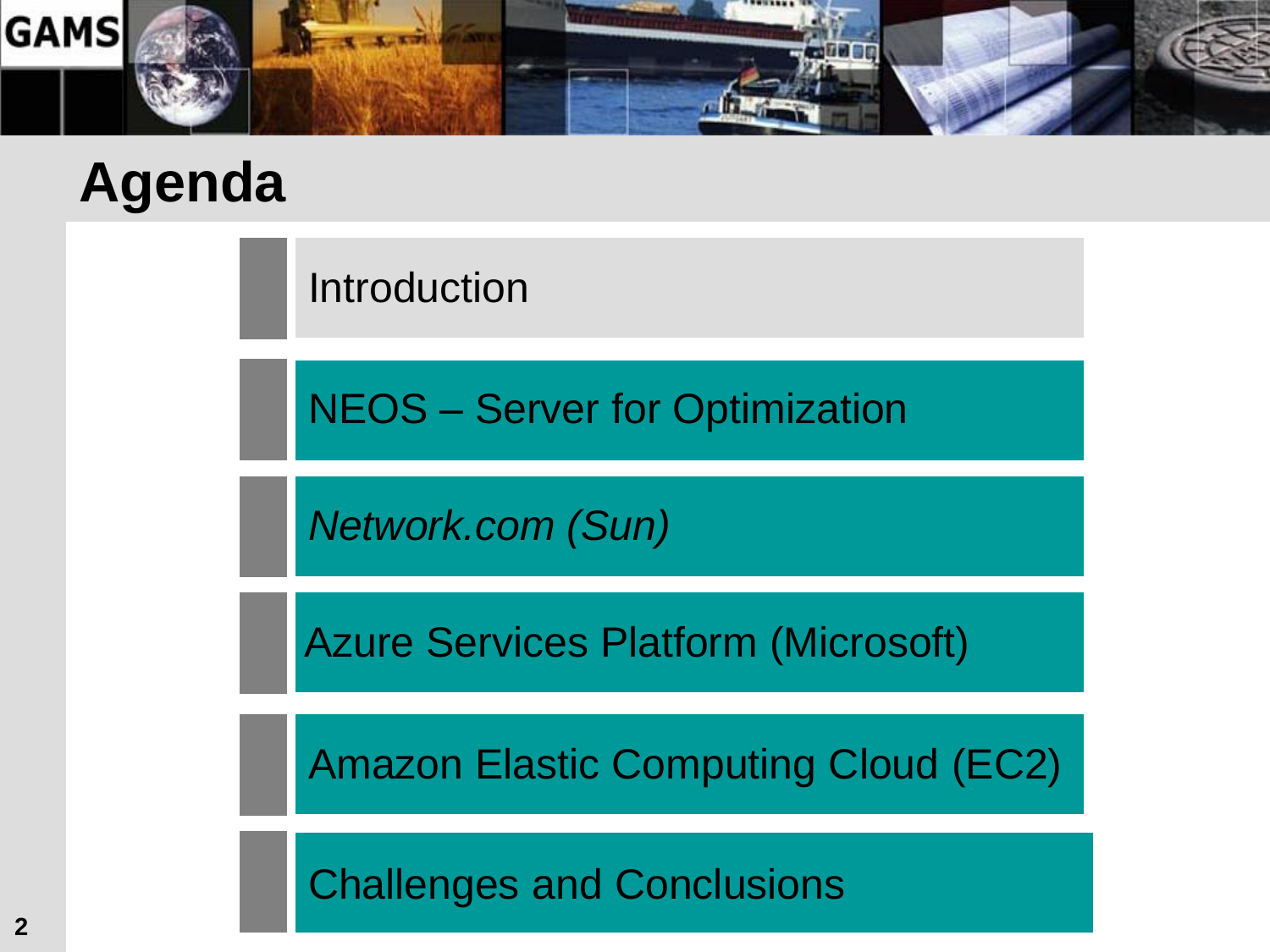

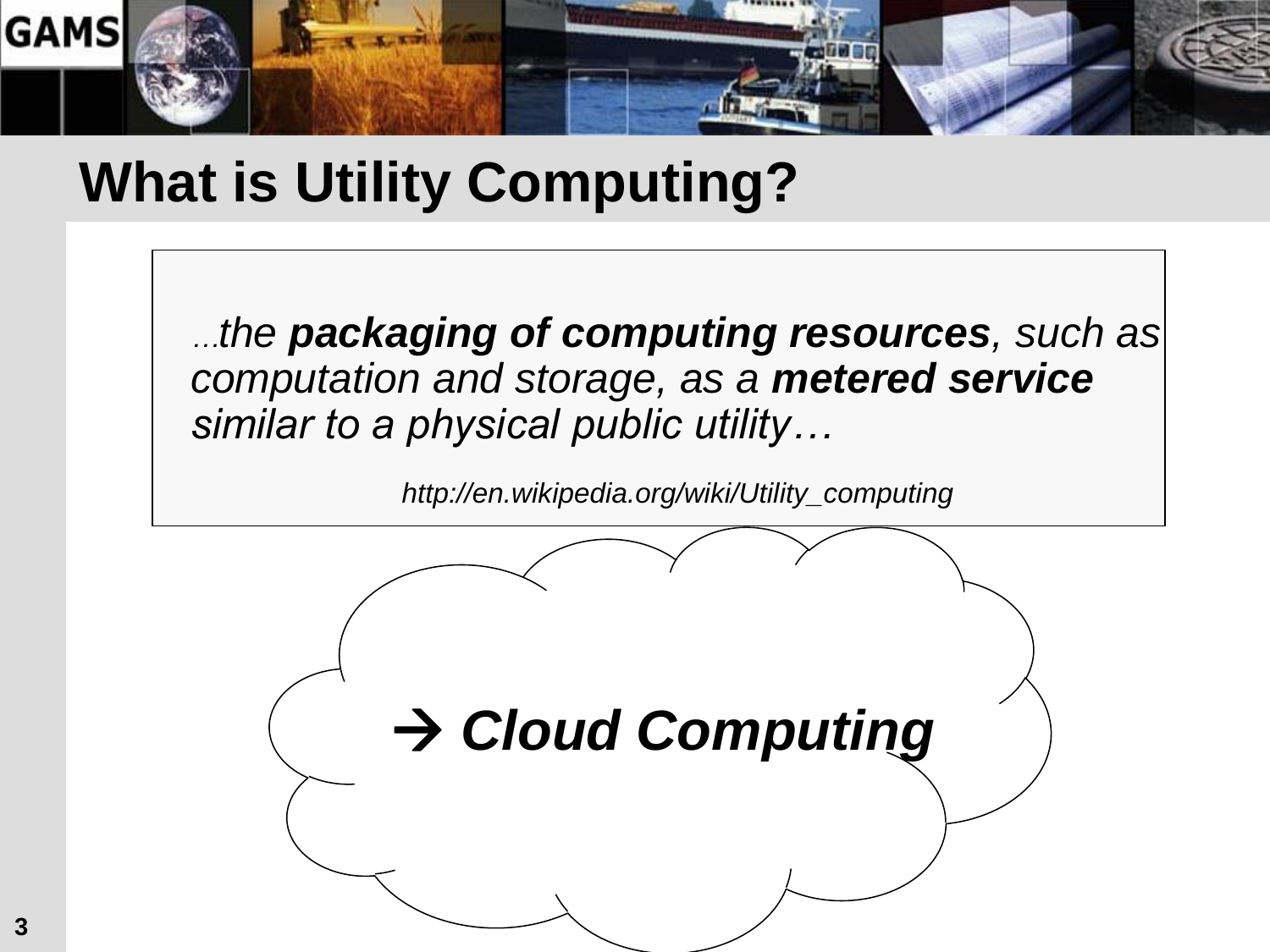

#### **What is Utility Computing?**

*…the packaging of computing resources, such as computation and storage, as a metered service similar to a physical public utility…* 

*http://en.wikipedia.org/wiki/Utility\_computing*

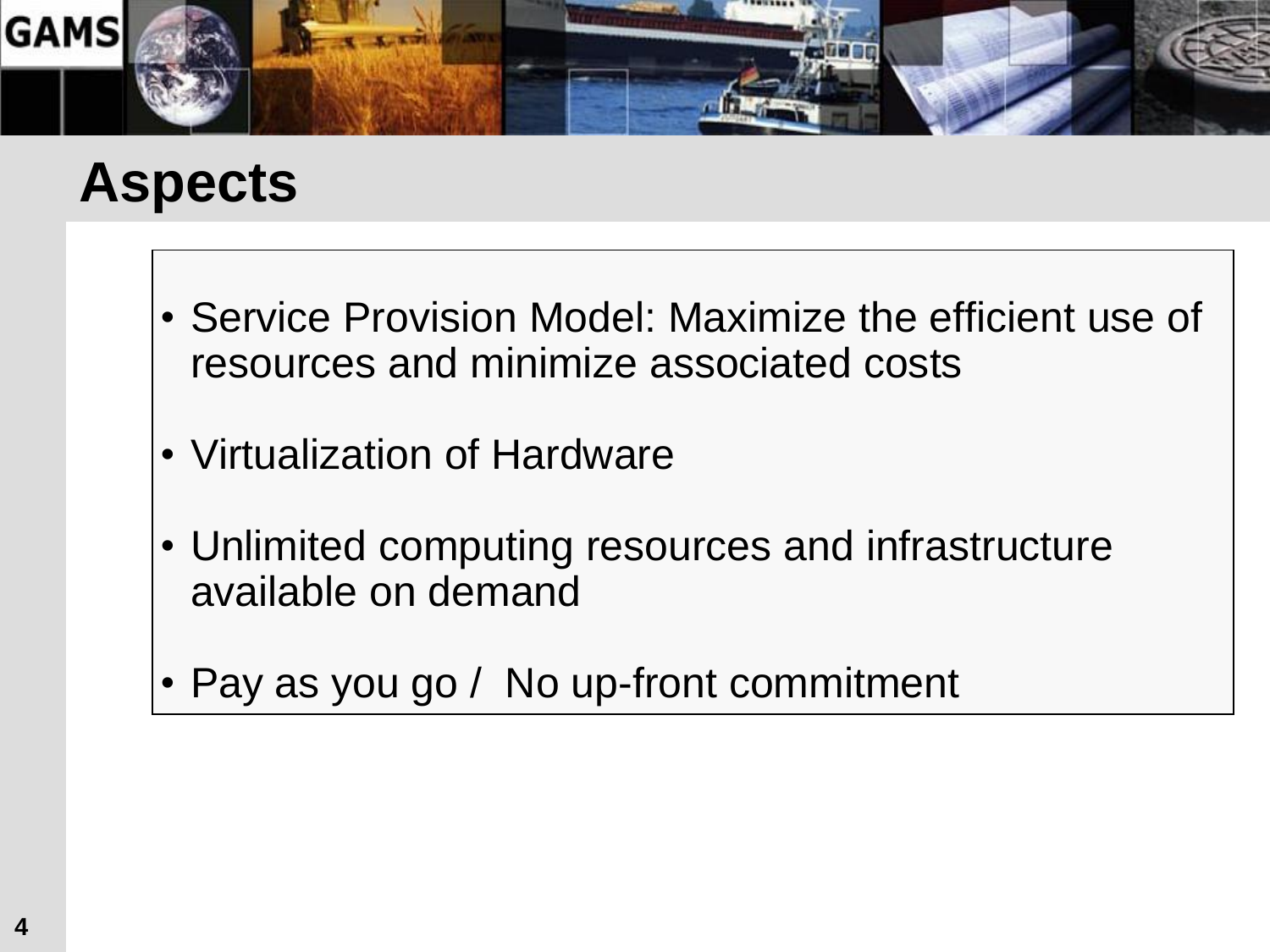

#### **Aspects**

- Service Provision Model: Maximize the efficient use of resources and minimize associated costs
- Virtualization of Hardware
- Unlimited computing resources and infrastructure available on demand
- Pay as you go / No up-front commitment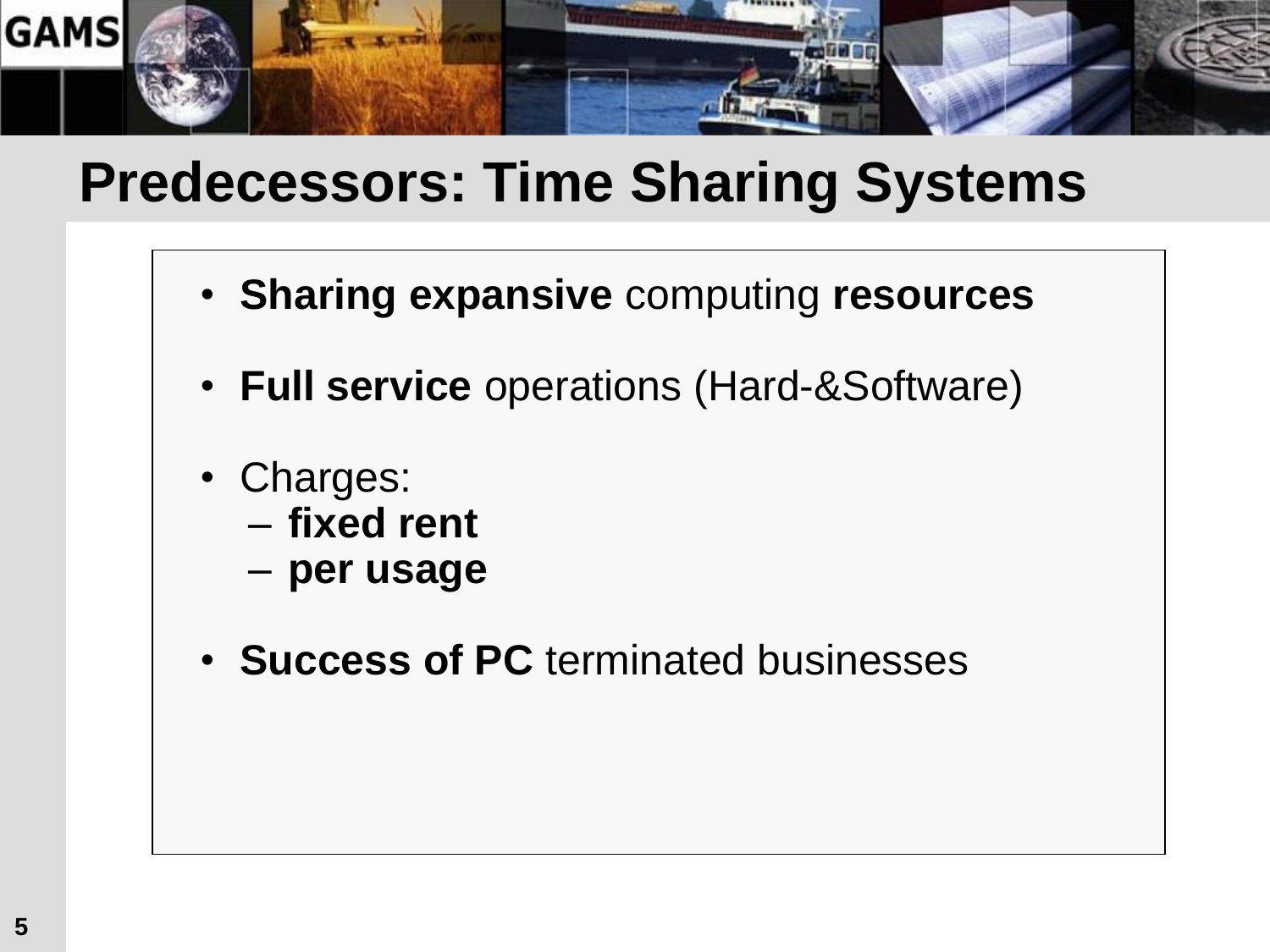

#### **Predecessors: Time Sharing Systems**

- **Sharing expansive** computing **resources**
- **Full service** operations (Hard-&Software)
- Charges:
	- **fixed rent**
	- **per usage**
- **Success of PC** terminated businesses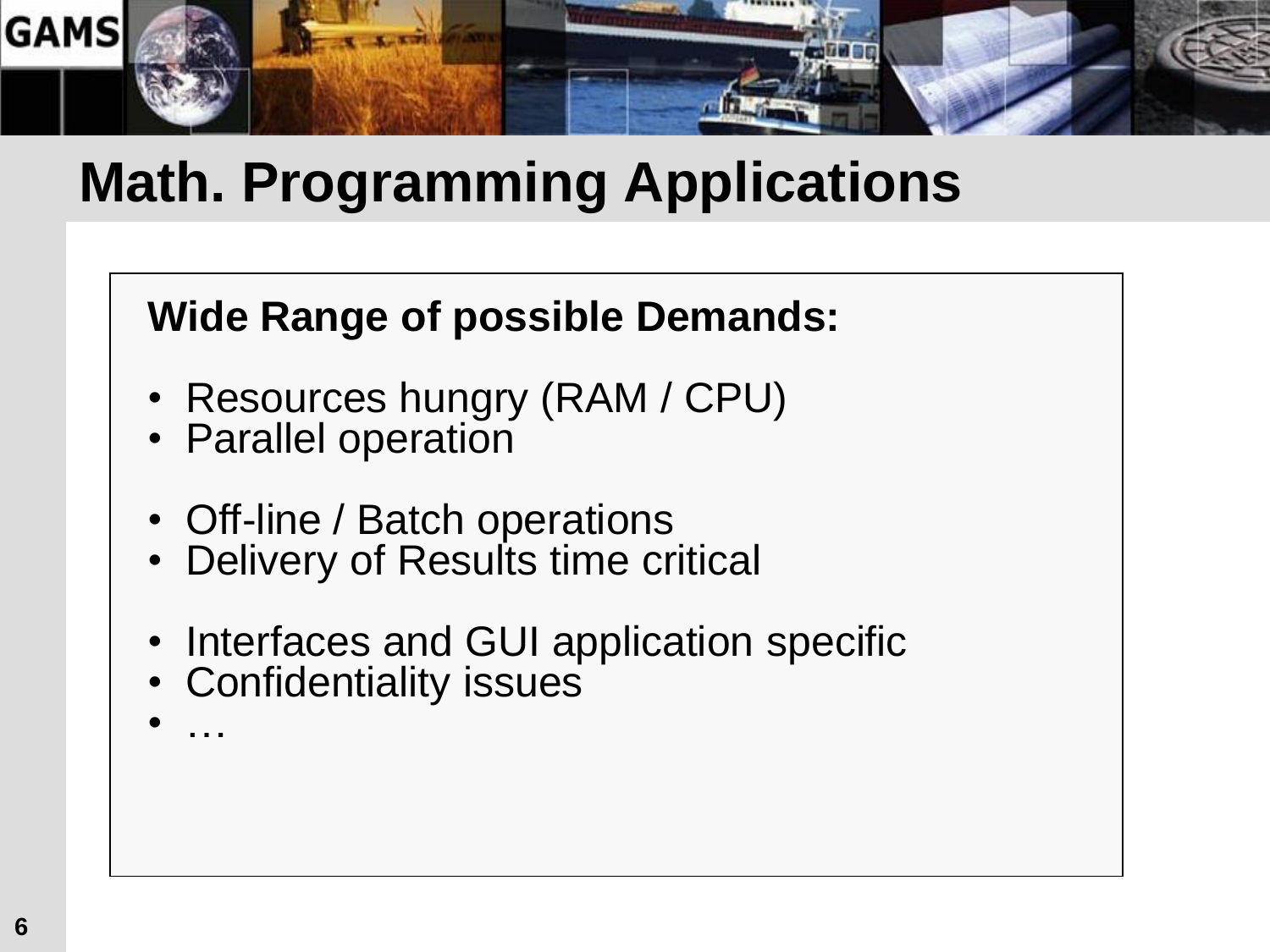

#### **Math. Programming Applications**

#### **Wide Range of possible Demands:**

- Resources hungry (RAM / CPU)
- Parallel operation
- Off-line / Batch operations
- Delivery of Results time critical
- Interfaces and GUI application specific
- Confidentiality issues
- …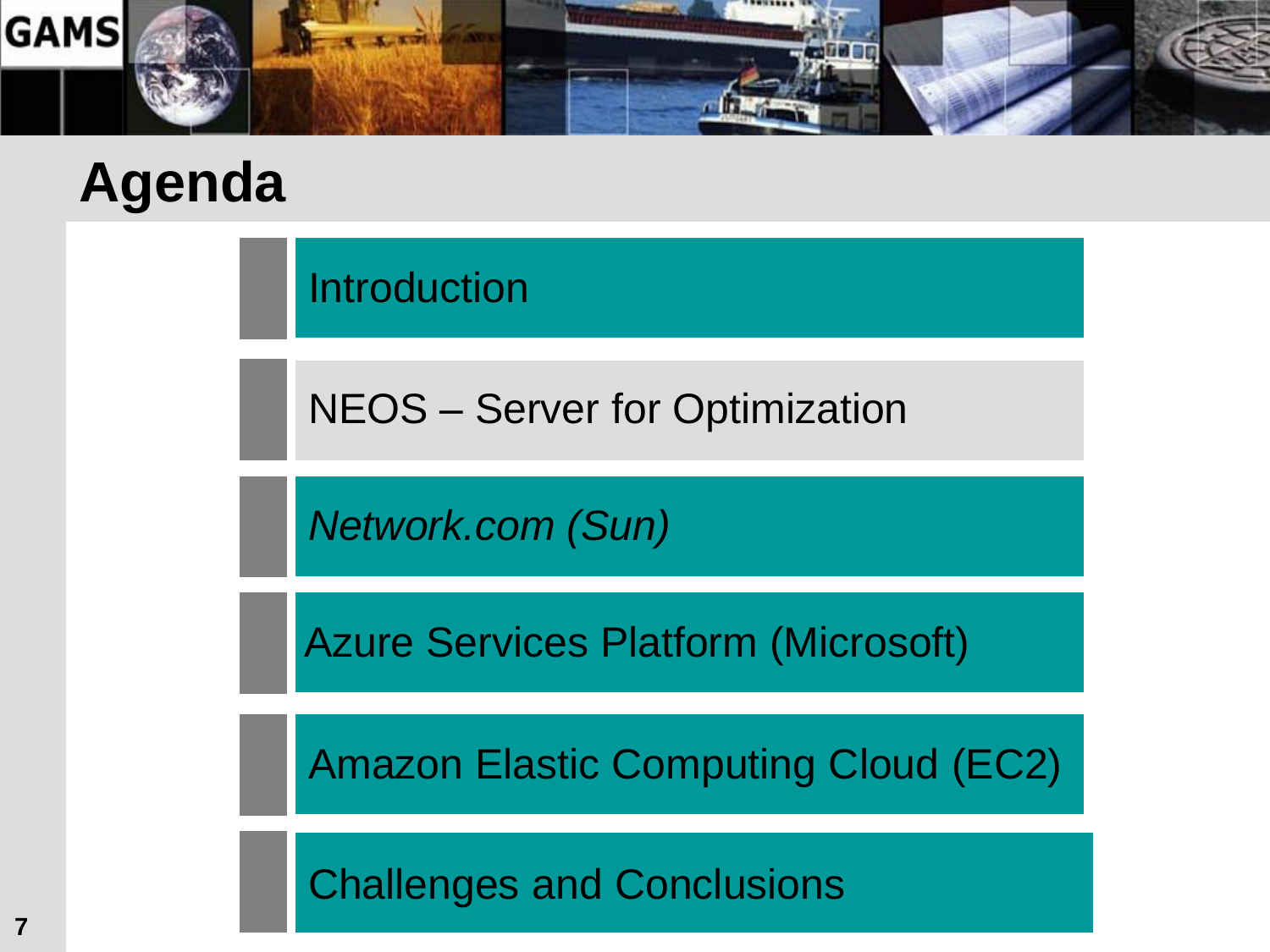

Introduction

NEOS – Server for Optimization

*Network.com (Sun)*

Azure Services Platform (Microsoft)

Amazon Elastic Computing Cloud (EC2)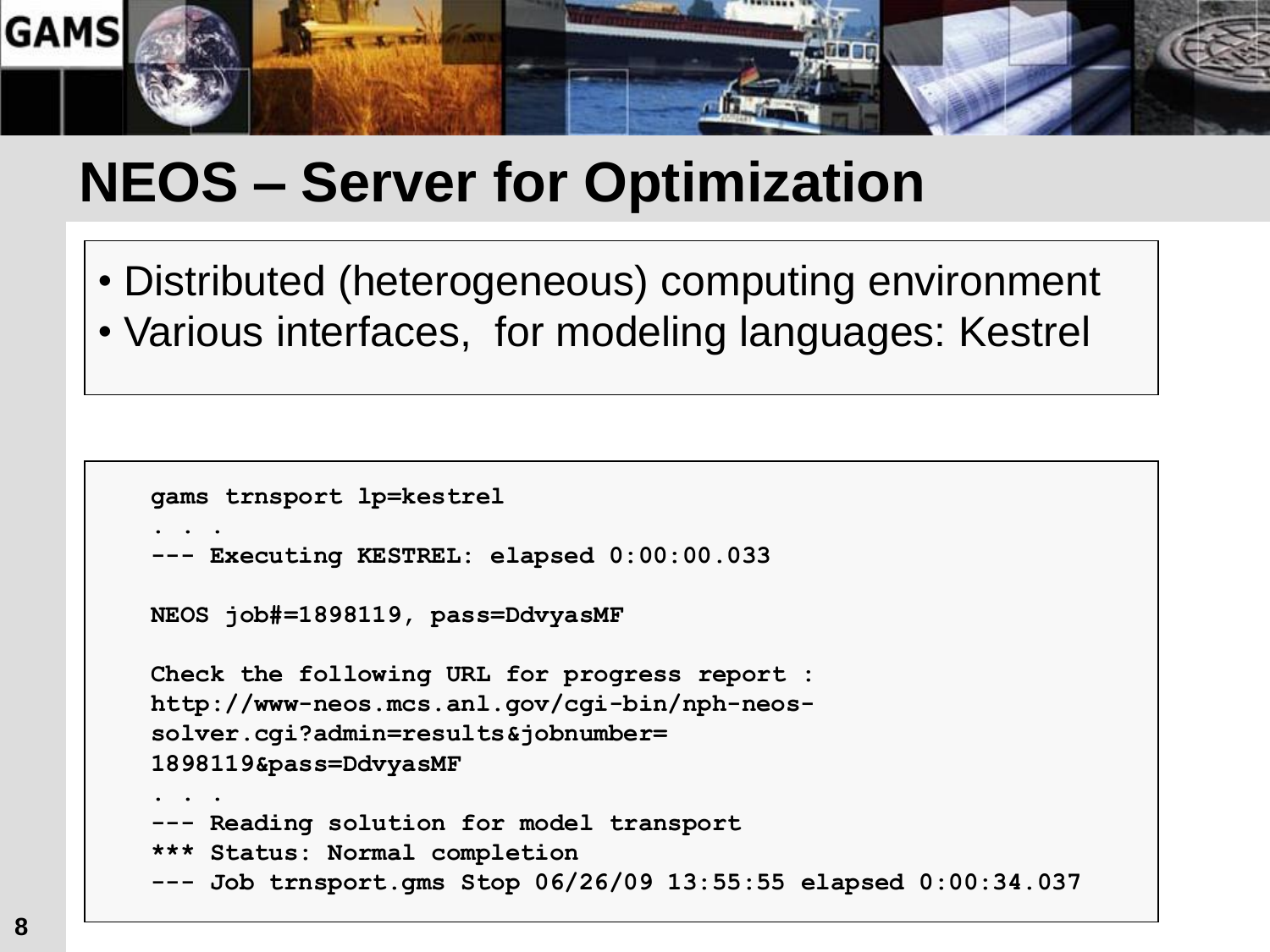

#### **NEOS – Server for Optimization**

• Distributed (heterogeneous) computing environment • Various interfaces, for modeling languages: Kestrel

```
gams trnsport lp=kestrel
. . .
--- Executing KESTREL: elapsed 0:00:00.033
NEOS job#=1898119, pass=DdvyasMF
Check the following URL for progress report :
http://www-neos.mcs.anl.gov/cgi-bin/nph-neos-
solver.cgi?admin=results&jobnumber=
1898119&pass=DdvyasMF
. . . 
  - Reading solution for model transport
*** Status: Normal completion
--- Job trnsport.gms Stop 06/26/09 13:55:55 elapsed 0:00:34.037
```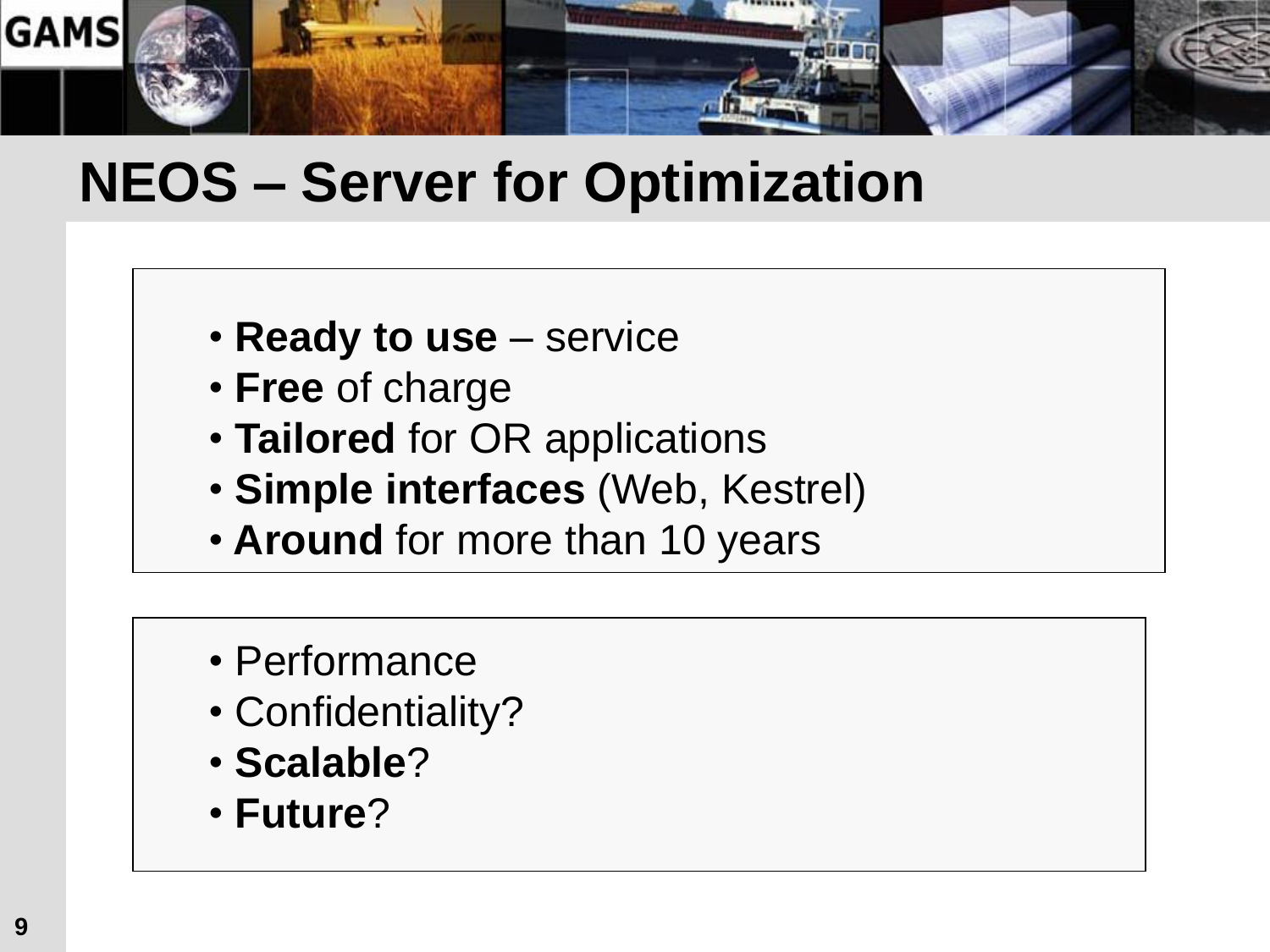

#### **NEOS – Server for Optimization**

- **Ready to use** service
- **Free** of charge
- **Tailored** for OR applications
- **Simple interfaces** (Web, Kestrel)
- **Around** for more than 10 years
- Performance
- Confidentiality?
- **Scalable**?
- **Future**?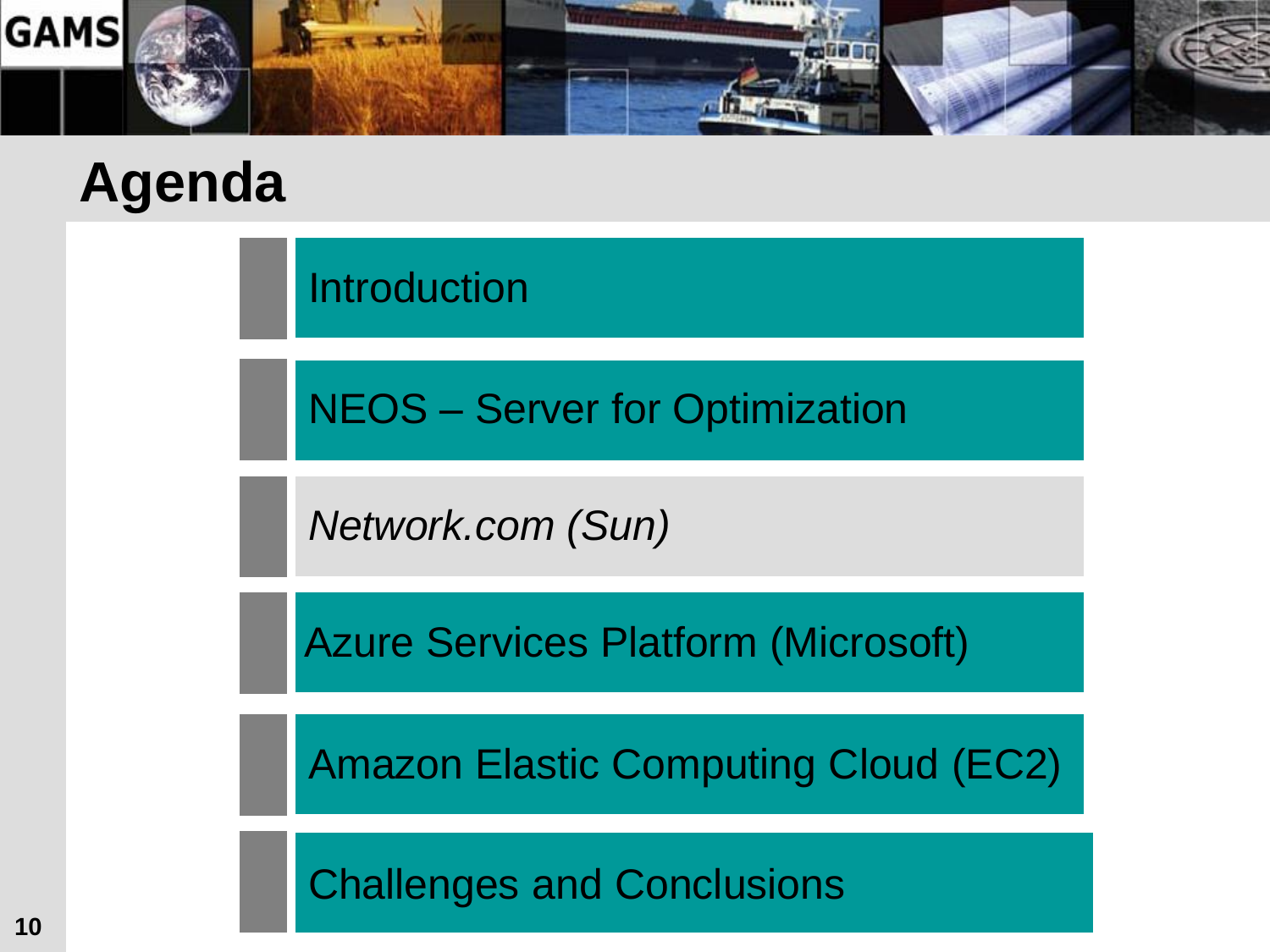

Introduction

NEOS – Server for Optimization

*Network.com (Sun)*

Azure Services Platform (Microsoft)

Amazon Elastic Computing Cloud (EC2)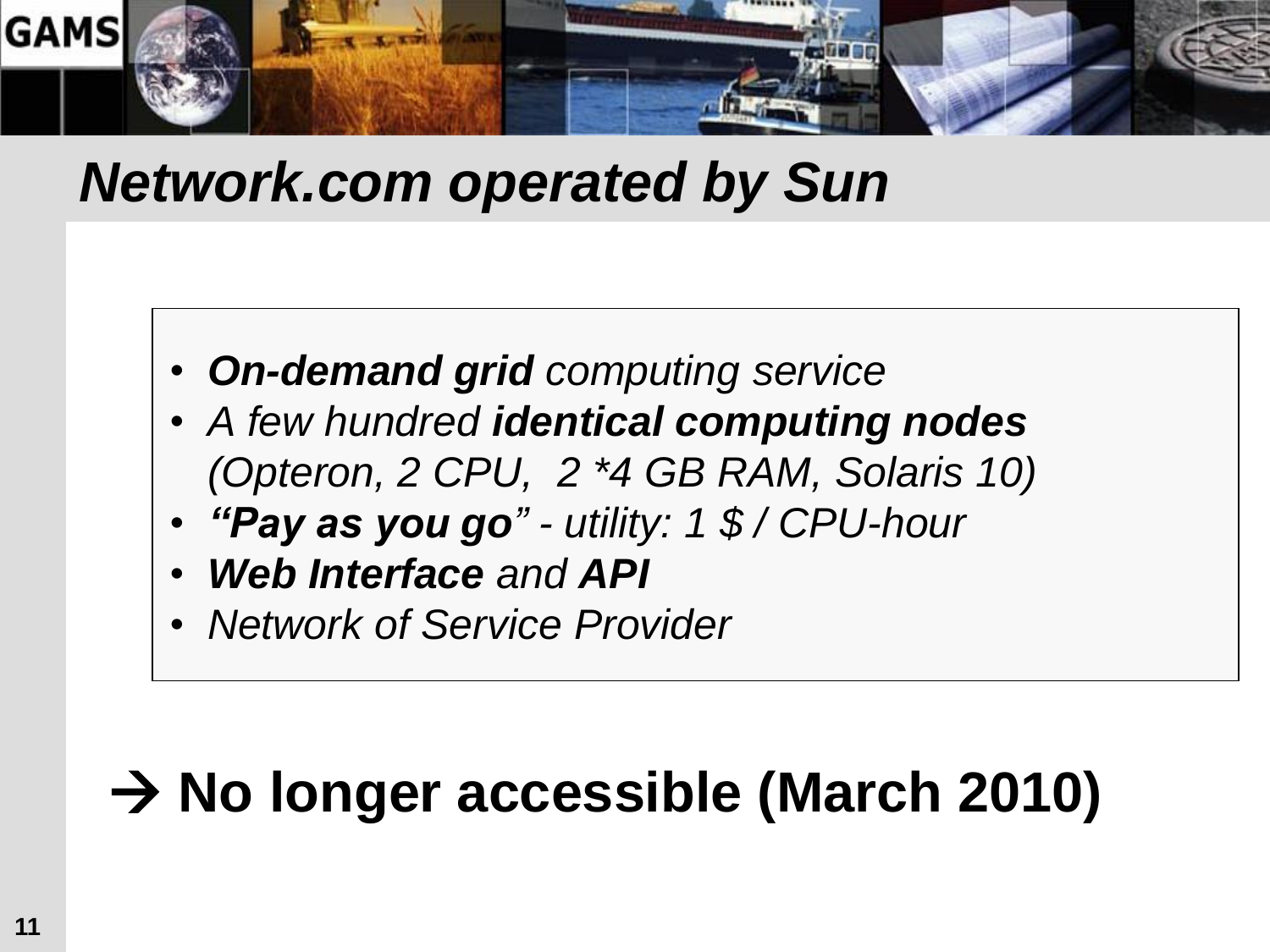

#### *Network.com operated by Sun*

- *On-demand grid computing service*
- *A few hundred identical computing nodes (Opteron, 2 CPU, 2 \*4 GB RAM, Solaris 10)*
- *"Pay as you go" - utility: 1 \$ / CPU-hour*
- *Web Interface and API*
- *Network of Service Provider*

## **→ No longer accessible (March 2010)**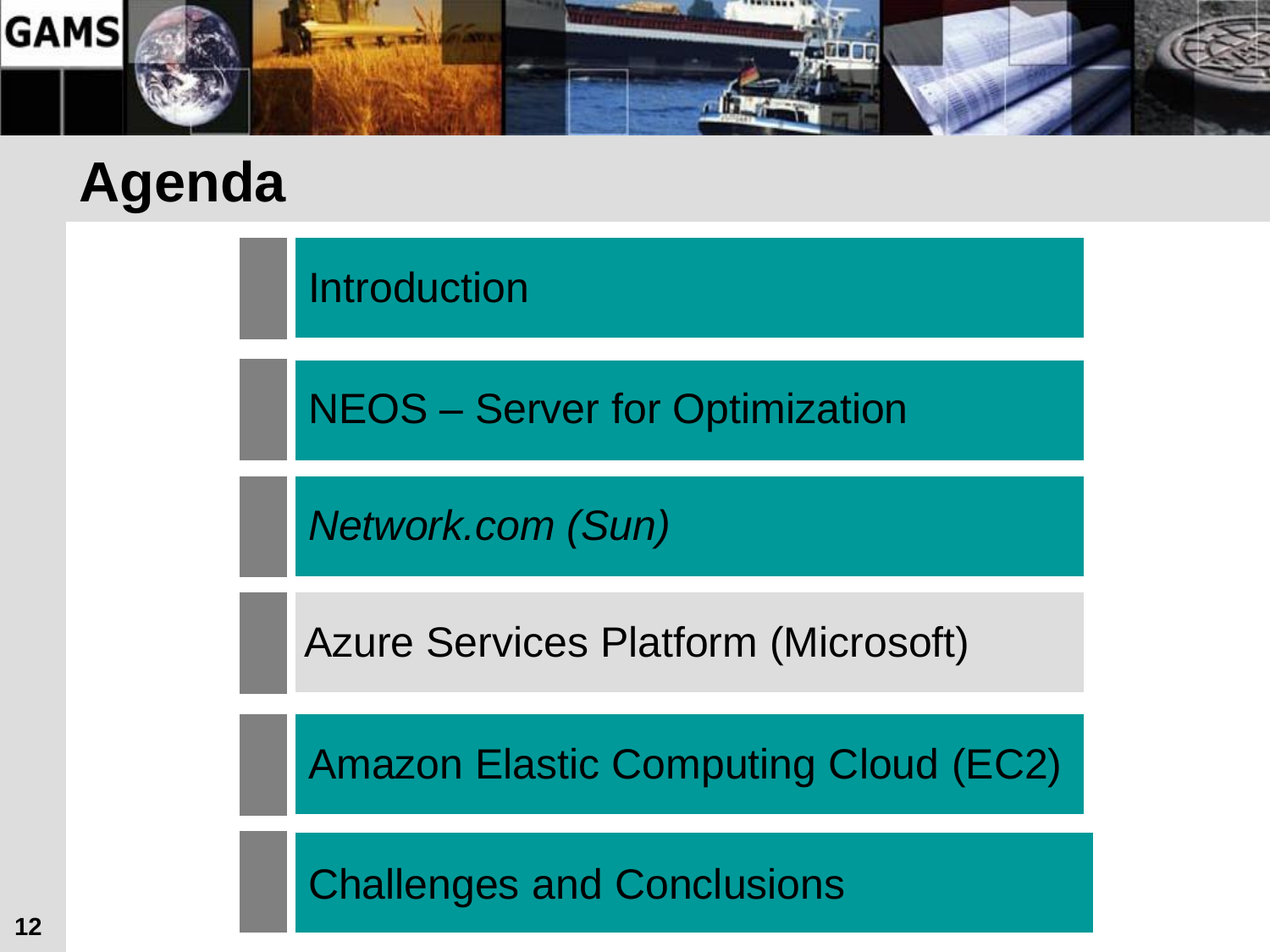

Introduction

NEOS – Server for Optimization

*Network.com (Sun)*

Azure Services Platform (Microsoft)

Amazon Elastic Computing Cloud (EC2)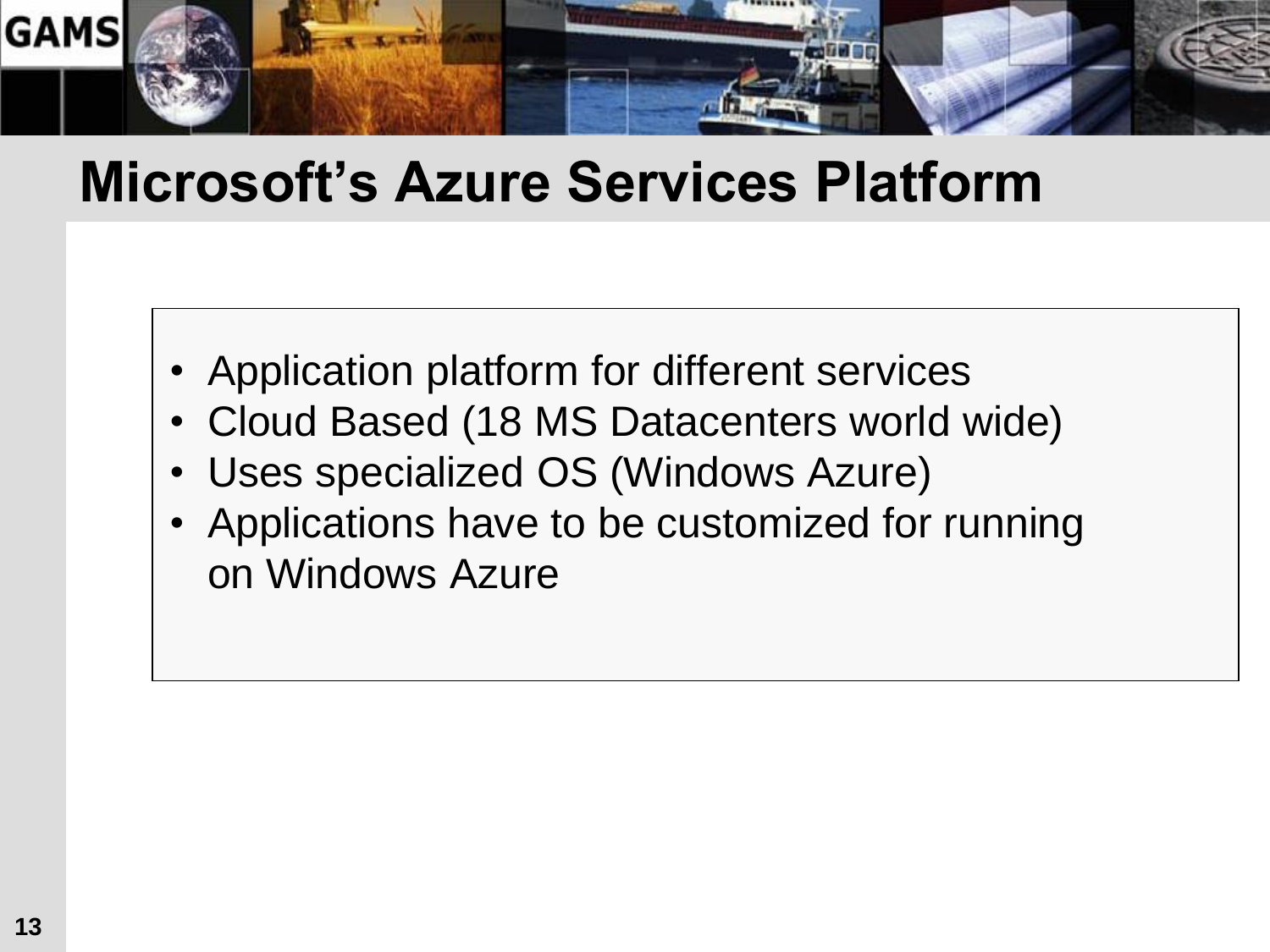

#### **Microsoft's Azure Services Platform**

- Application platform for different services
- Cloud Based (18 MS Datacenters world wide)
- Uses specialized OS (Windows Azure)
- Applications have to be customized for running on Windows Azure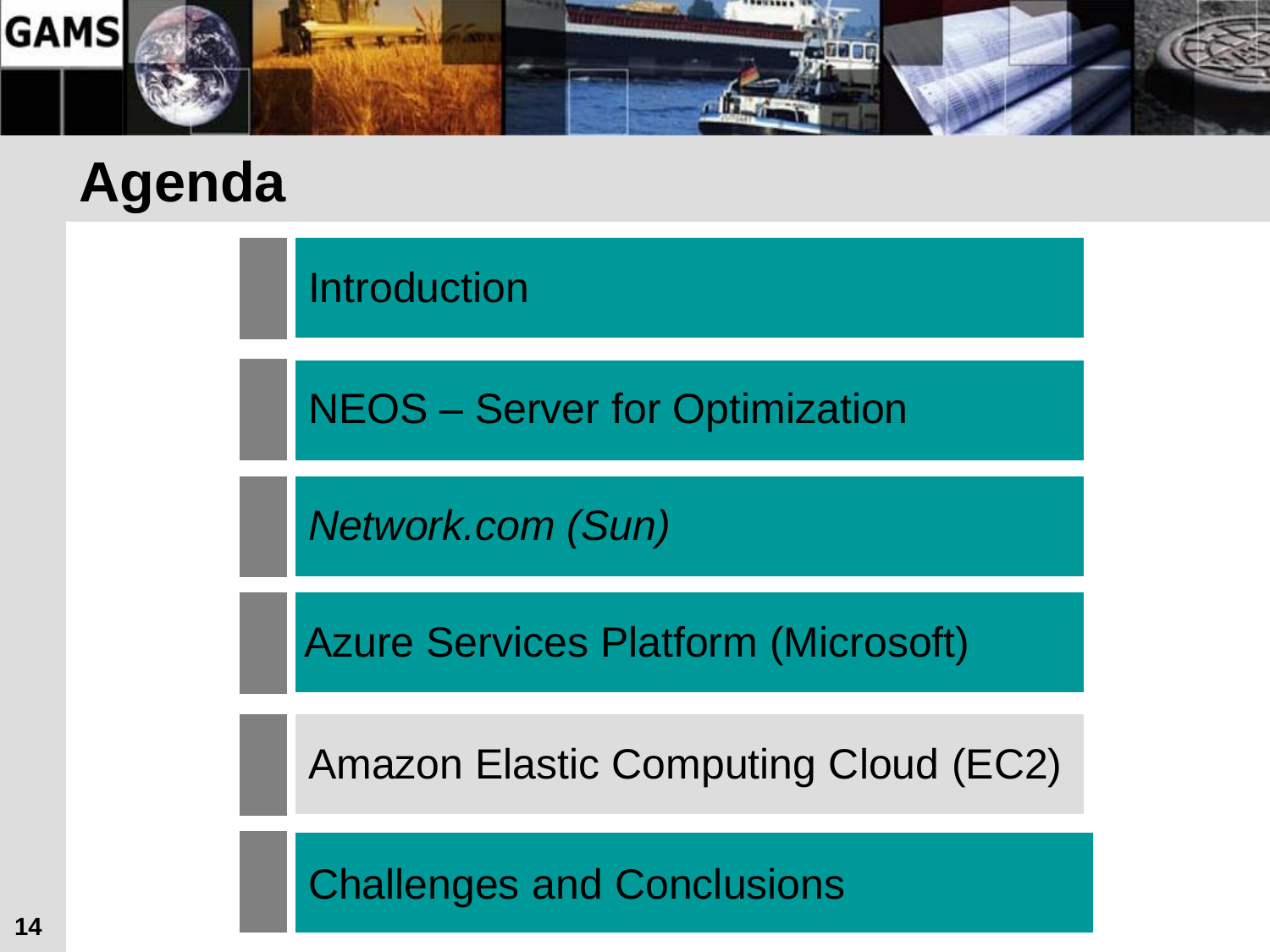

Introduction

NEOS – Server for Optimization

*Network.com (Sun)*

Azure Services Platform (Microsoft)

Amazon Elastic Computing Cloud (EC2)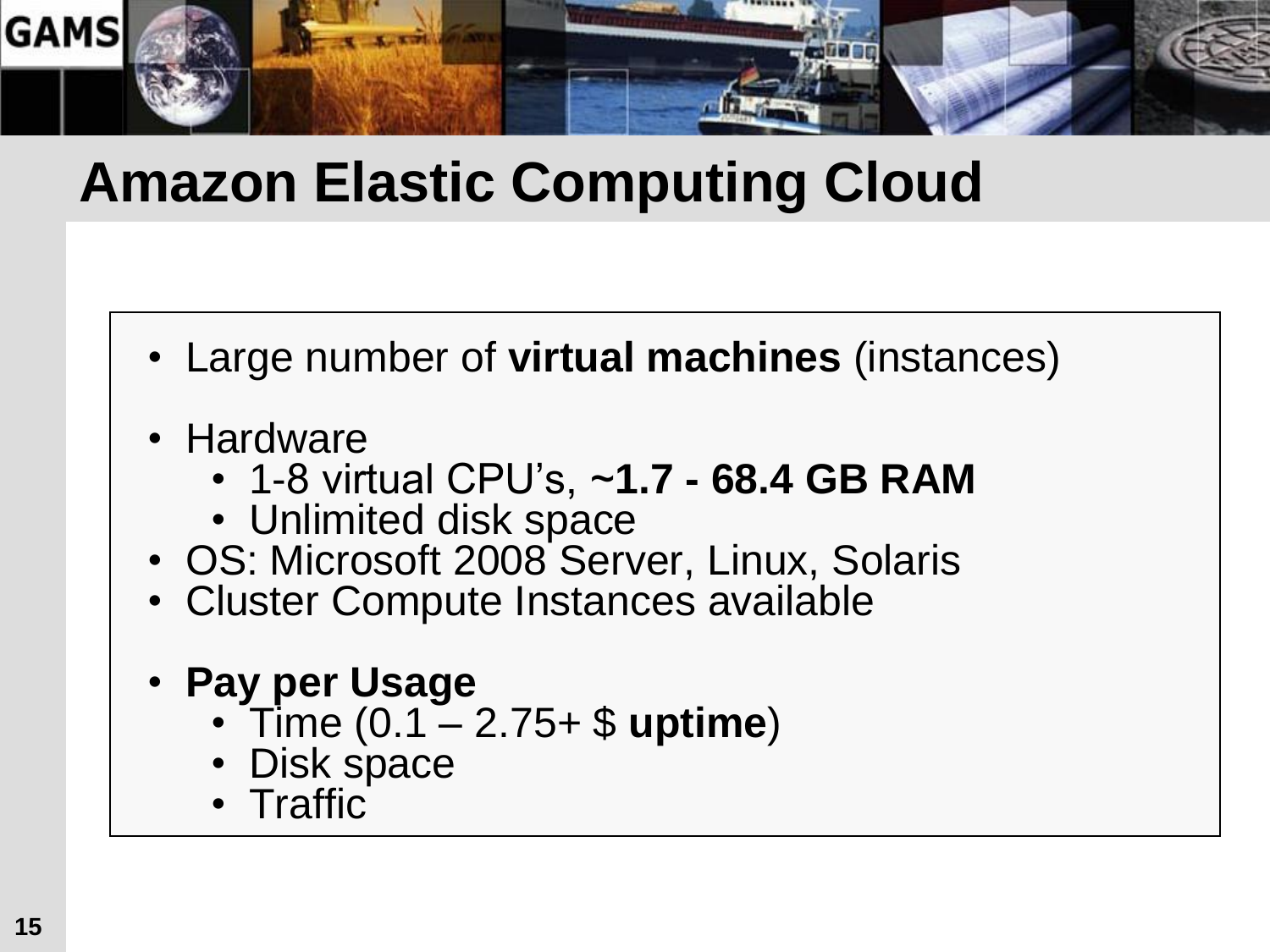

#### **Amazon Elastic Computing Cloud**

- Large number of **virtual machines** (instances)
- Hardware
	- 1-8 virtual CPU's, ~**1.7 - 68.4 GB RAM**
	- Unlimited disk space
- OS: Microsoft 2008 Server, Linux, Solaris
- Cluster Compute Instances available
- **Pay per Usage**
	- Time (0.1 2.75+ \$ **uptime**)
	- Disk space
	- Traffic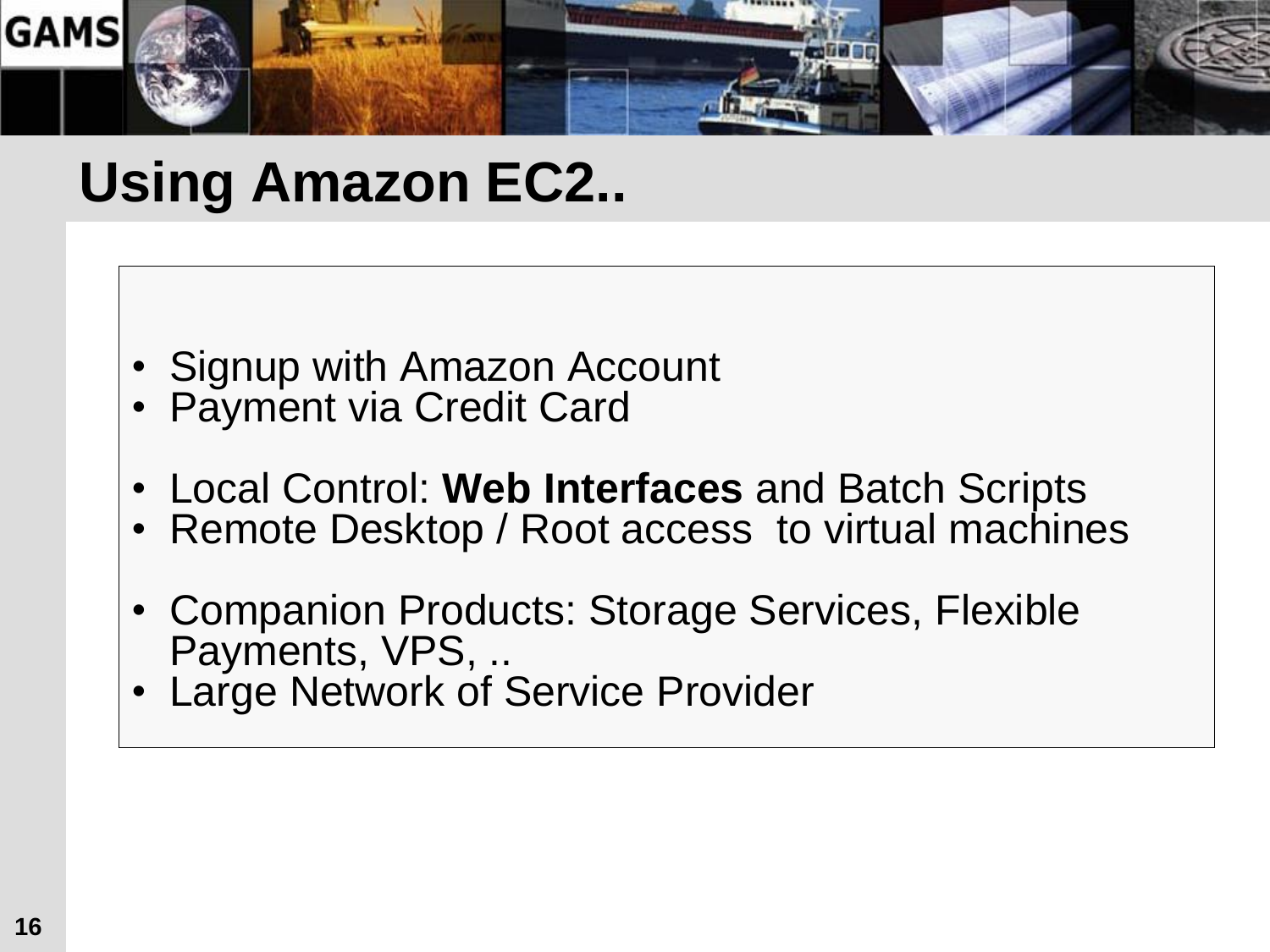

### **Using Amazon EC2..**

- Signup with Amazon Account
- Payment via Credit Card
- Local Control: **Web Interfaces** and Batch Scripts
- Remote Desktop / Root access to virtual machines
- Companion Products: Storage Services, Flexible Payments, VPS, ..
- Large Network of Service Provider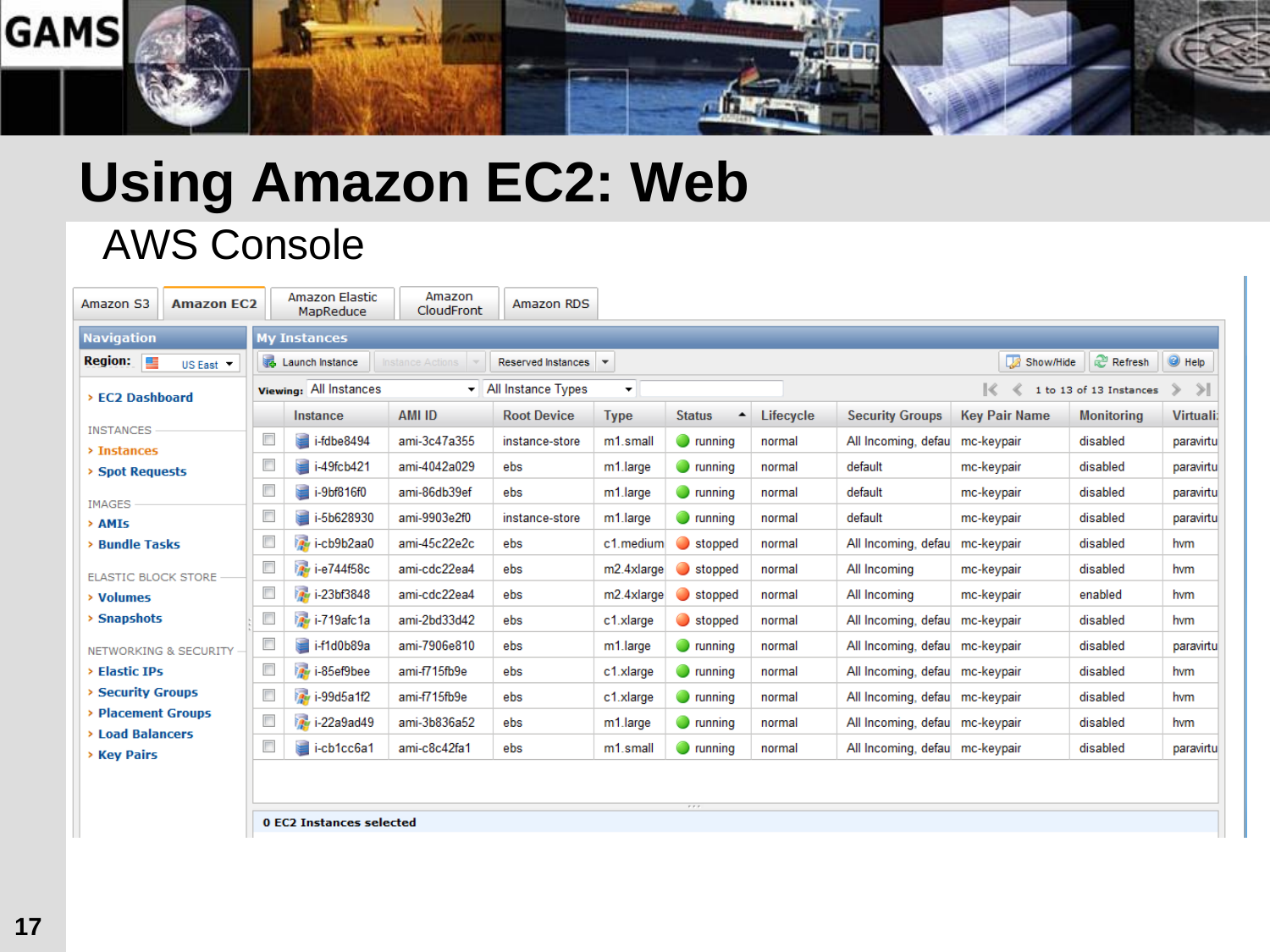

## **Using Amazon EC2: Web**

#### AWS Console

| Amazon S3<br><b>Amazon EC2</b>              |                          | Amazon Elastic<br><b>MapReduce</b> | Amazon<br><b>CloudFront</b> | Amazon RDS                               |                        |                                   |           |                                |                      |                         |                    |  |  |
|---------------------------------------------|--------------------------|------------------------------------|-----------------------------|------------------------------------------|------------------------|-----------------------------------|-----------|--------------------------------|----------------------|-------------------------|--------------------|--|--|
| <b>Navigation</b><br><b>My Instances</b>    |                          |                                    |                             |                                          |                        |                                   |           |                                |                      |                         |                    |  |  |
| $Region: \Box$<br>US East <b>T</b>          |                          | Launch Instance                    | Instance Actions            | Reserved Instances   v                   |                        |                                   |           |                                | Show/Hide            | Refresh                 | $\bigcirc$ Help    |  |  |
| > EC2 Dashboard                             |                          | <b>Viewing: All Instances</b>      |                             | $\blacktriangleright$ All Instance Types | $\mathbf{v}$           |                                   |           |                                | $\ll$                | 1 to 13 of 13 Instances | $\rightarrow$<br>≫ |  |  |
|                                             |                          | Instance                           | <b>AMI ID</b>               | <b>Root Device</b>                       | <b>Type</b>            | <b>Status</b><br>$\blacktriangle$ | Lifecycle | <b>Security Groups</b>         | <b>Key Pair Name</b> | <b>Monitoring</b>       | <b>Virtuali:</b>   |  |  |
| <b>INSTANCES</b><br>$\rightarrow$ Instances | $\Box$                   | $\blacksquare$ i-fdbe8494          | ami-3c47a355                | instance-store                           | m1.small               | $\bullet$ running                 | normal    | All Incoming, defau mc-keypair |                      | disabled                | paravirtu          |  |  |
| > Spot Requests                             | $\Box$                   | i-49fcb421                         | ami-4042a029                | ebs                                      | m1.large               | $\bullet$ running                 | normal    | default                        | mc-keypair           | disabled                | paravirtul         |  |  |
| <b>IMAGES</b>                               | $\Box$                   | $\blacksquare$ i-9bf816f0          | ami-86db39ef                | ebs                                      | m1.large               | $\bullet$ running                 | normal    | default                        | mc-keypair           | disabled                | paravirtu          |  |  |
| > AMIs                                      | $\Box$                   | i-5b628930                         | ami-9903e2f0                | instance-store                           | m1.large               | $\bullet$ running                 | normal    | default                        | mc-keypair           | disabled                | paravirtul         |  |  |
| > Bundle Tasks                              | $\Box$                   | in i-cb9b2aa0                      | ami-45c22e2c                | ebs                                      | c1.medium              | $\bullet$ stopped                 | normal    | All Incoming, defau            | mc-keypair           | disabled                | hvm                |  |  |
| <b>ELASTIC BLOCK STORE</b>                  | $\Box$                   | i-e744f58c                         | ami-cdc22ea4                | ebs                                      | m2.4xlarge             | $\Box$ stopped                    | normal    | All Incoming                   | mc-keypair           | disabled                | hvm                |  |  |
| > Volumes                                   | $\Box$                   | i-23bf3848                         | ami-cdc22ea4                | ebs                                      | m <sub>2.4xlarge</sub> | $\Box$ stopped                    | normal    | All Incoming                   | mc-keypair           | enabled                 | hvm                |  |  |
| $\rightarrow$ Snapshots                     | $\Box$                   | i-719afc1a                         | ami-2bd33d42                | ebs                                      | c1.xlarge              | $\bullet$ stopped                 | normal    | All Incoming, defau            | mc-keypair           | disabled                | hvm                |  |  |
| NETWORKING & SECURITY -                     | $\Box$                   | i-f1d0b89a                         | ami-7906e810                | ebs                                      | m1.large               | $\bullet$ running                 | normal    | All Incoming, defau mc-keypair |                      | disabled                | paravirtu          |  |  |
| > Elastic IPs                               | $\overline{\phantom{a}}$ | i <sub>n</sub> i-85ef9bee          | ami-f715fb9e                | ebs                                      | c1.xlarge              | $\bullet$ running                 | normal    | All Incoming, defau mc-keypair |                      | disabled                | hvm                |  |  |
| > Security Groups                           | $\Box$                   | i-99d5a1f2                         | ami-f715fb9e                | ebs                                      | c1.xlarge              | $\bullet$ running                 | normal    | All Incoming, defau mc-keypair |                      | disabled                | hvm                |  |  |
| > Placement Groups<br>> Load Balancers      | $\Box$                   | i-22a9ad49                         | ami-3b836a52                | ebs                                      | m1.large               | $\bullet$ running                 | normal    | All Incoming, defau mc-keypair |                      | disabled                | hvm                |  |  |
| <b>&gt; Key Pairs</b>                       | $\Box$                   | $\blacksquare$ i-cb1cc6a1          | ami-c8c42fa1                | ebs                                      | m1.small               | $\bullet$ running                 | normal    | All Incoming, defau mc-keypair |                      | disabled                | paravirtu          |  |  |
|                                             |                          |                                    |                             |                                          |                        |                                   |           |                                |                      |                         |                    |  |  |
|                                             |                          |                                    |                             |                                          |                        |                                   |           |                                |                      |                         |                    |  |  |

0 EC2 Instances selected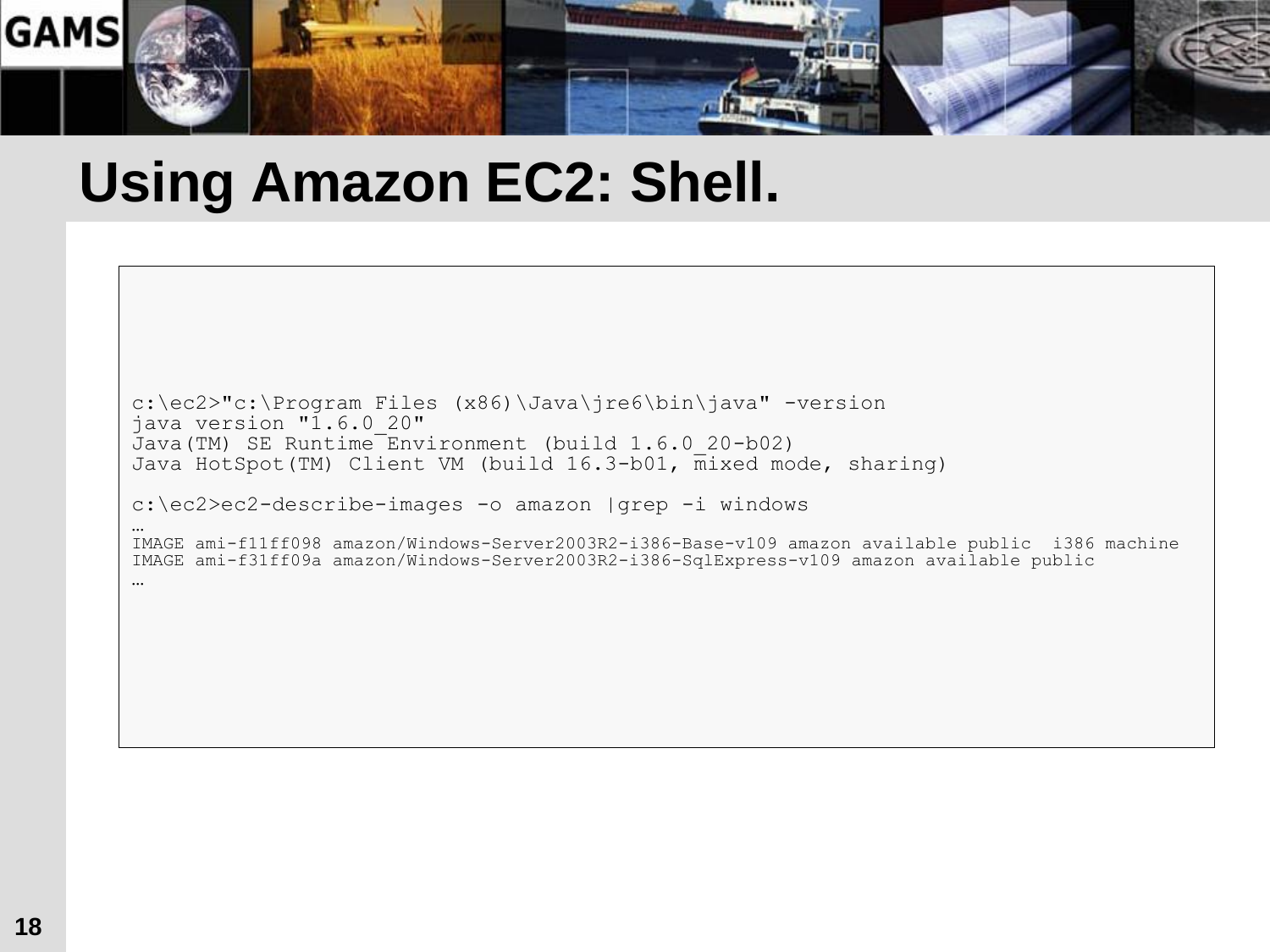

#### **Using Amazon EC2: Shell.**

```
c:\ec2>"c:\Program Files (x86)\Java\jre6\bin\java" -version
java version "1.6.0_20"
Java(TM) SE Runtime Environment (build 1.6.0_20-b02)
Java HotSpot(TM) Client VM (build 16.3-b01, mixed mode, sharing)
```

```
c:\ec2>ec2-describe-images -o amazon |grep -i windows
```

```
…
IMAGE ami-f11ff098 amazon/Windows-Server2003R2-i386-Base-v109 amazon available public i386 machine
IMAGE ami-f31ff09a amazon/Windows-Server2003R2-i386-SqlExpress-v109 amazon available public
```

```
…
```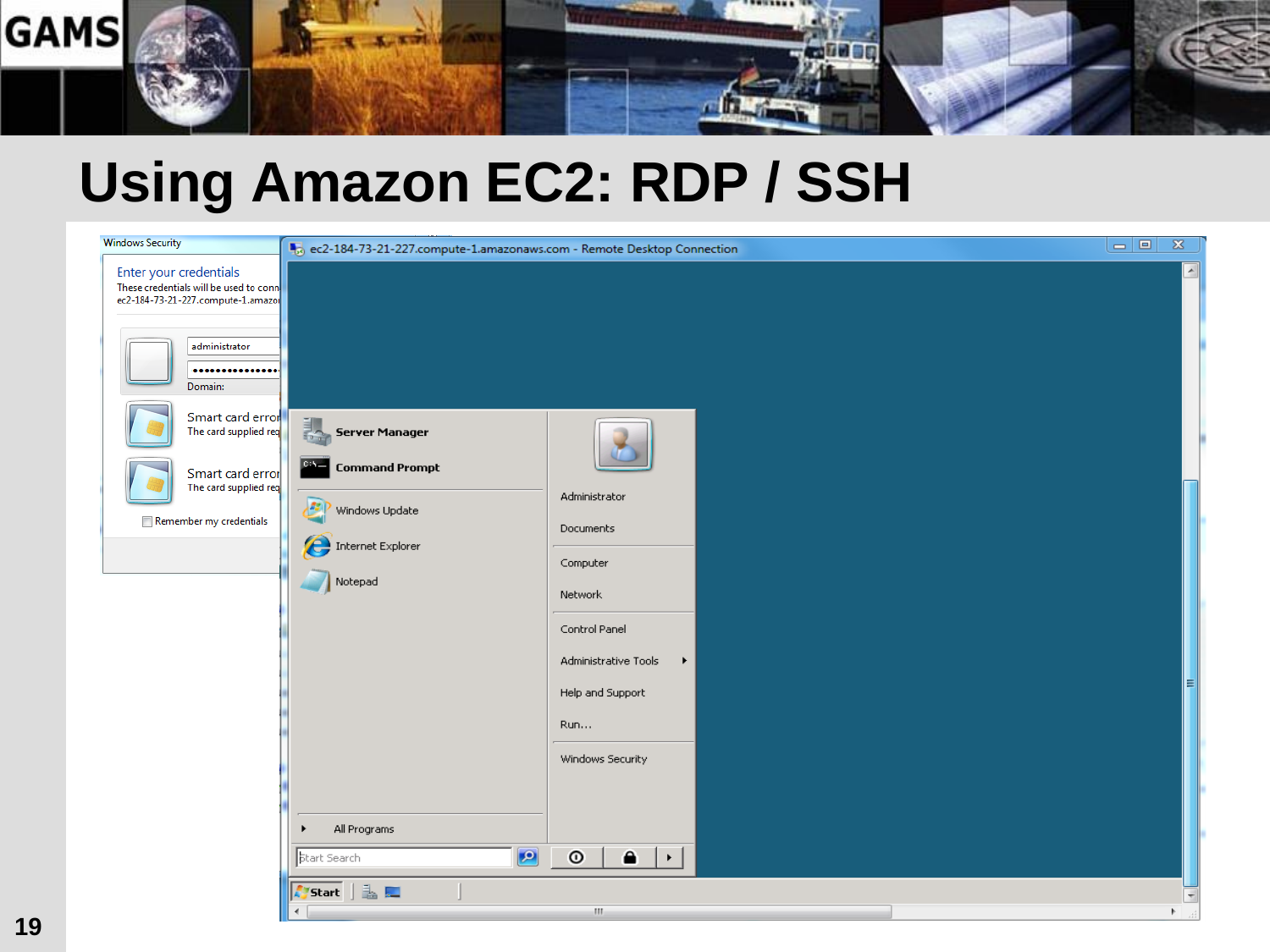

#### **Using Amazon EC2: RDP / SSH**

| <b>Windows Security</b>                                                                                                                                                                                                                                      | ec2-184-73-21-227.compute-1.amazonaws.com - Remote Desktop Connection                                                                                                                                                                      | $\Box$ $\Box$ | $\mathbb{Z}$                                                    |
|--------------------------------------------------------------------------------------------------------------------------------------------------------------------------------------------------------------------------------------------------------------|--------------------------------------------------------------------------------------------------------------------------------------------------------------------------------------------------------------------------------------------|---------------|-----------------------------------------------------------------|
| Enter your credentials<br>These credentials will be used to conne<br>ec2-184-73-21-227.compute-1.amazor<br>administrator<br><br>Domain:<br>Smart card error<br>The card supplied req<br>Smart card error<br>The card supplied req<br>Remember my credentials | 誢<br><b>Server Manager</b><br>C:S<br><b>Command Prompt</b><br>Administrator<br>Jas<br>Windows Update<br>Documents<br>Internet Explorer<br>Computer<br>Notepad<br>Network<br>Control Panel<br>Administrative Tools<br>$\blacktriangleright$ |               | $\overline{\phantom{a}}$                                        |
|                                                                                                                                                                                                                                                              | Help and Support<br>Run<br>Windows Security<br>All Programs<br>١<br>$\bullet$<br>$\odot$<br>$\bullet$<br><b>Start Search</b><br>$\vdash$<br>Aystart   也<br>$\mathbf{m}_1$                                                                  |               | E<br>$\overline{\mathbf{v}}$<br>$\blacktriangleright$ . $\pm i$ |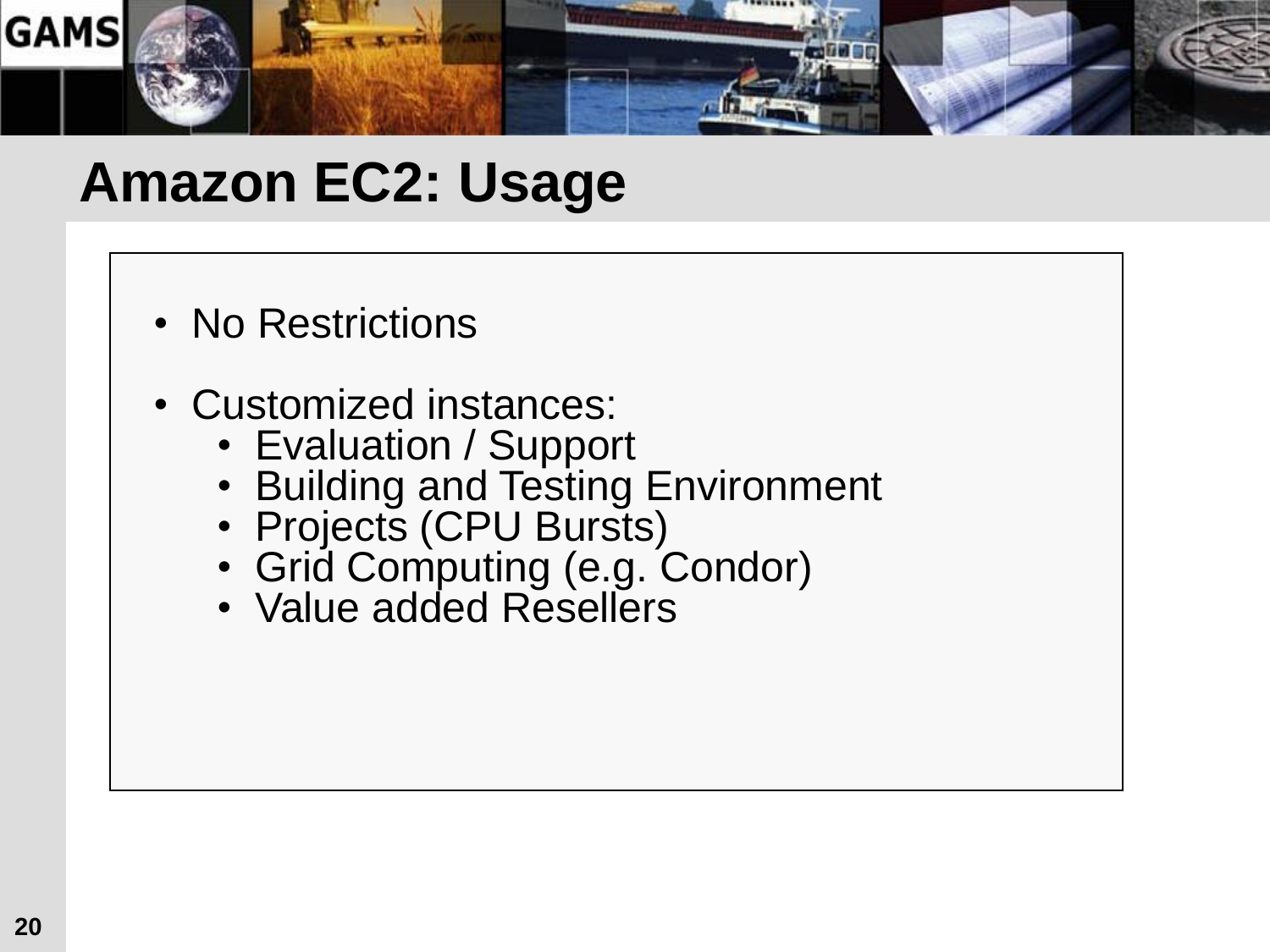

#### **Amazon EC2: Usage**

- No Restrictions
- Customized instances:
	- Evaluation / Support
	- Building and Testing Environment
	- Projects (CPU Bursts)
	- Grid Computing (e.g. Condor)
	- Value added Resellers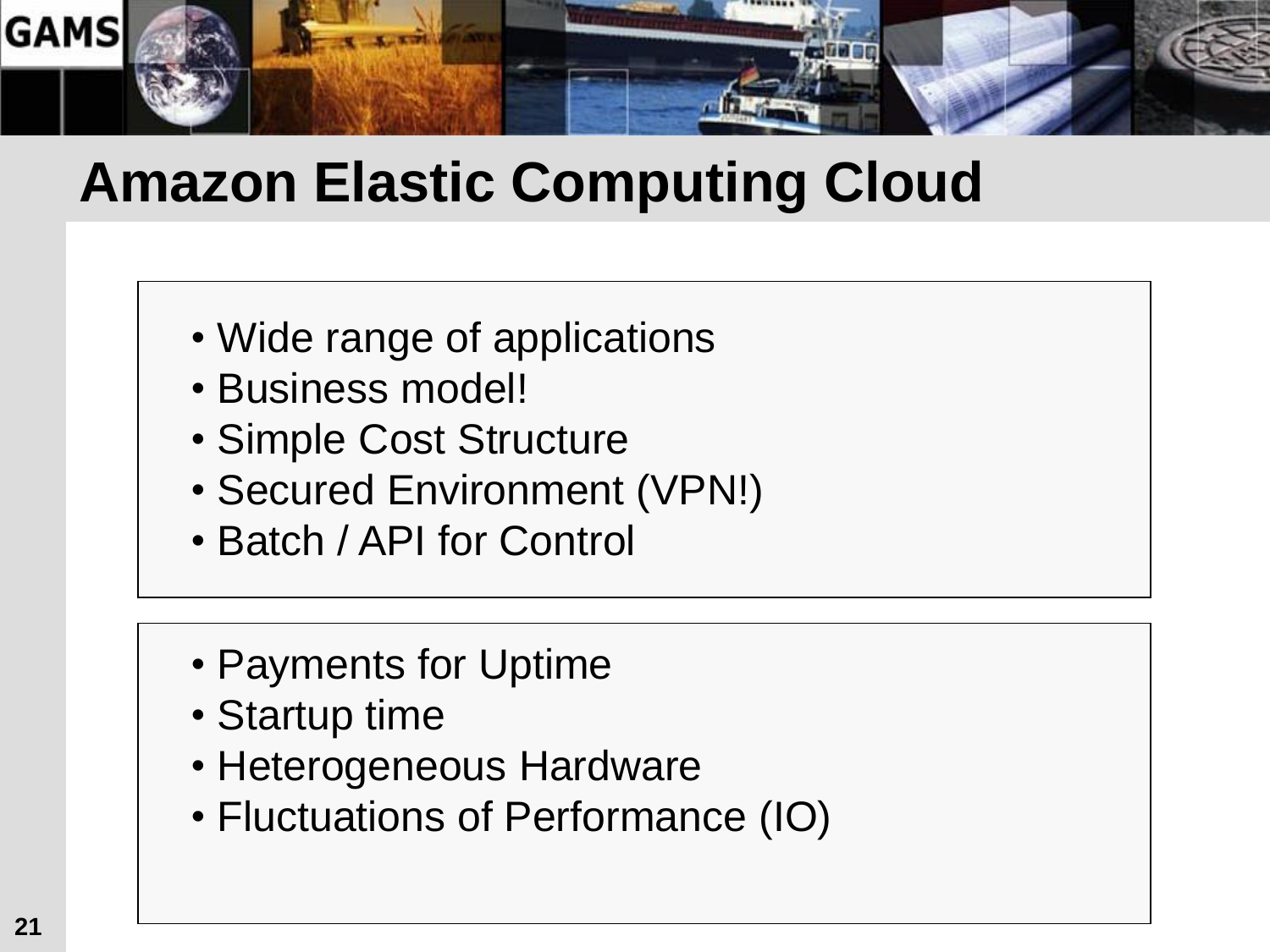

#### **Amazon Elastic Computing Cloud**

- Wide range of applications
- Business model!
- Simple Cost Structure
- Secured Environment (VPN!)
- Batch / API for Control
- Payments for Uptime
- Startup time
- Heterogeneous Hardware
- Fluctuations of Performance (IO)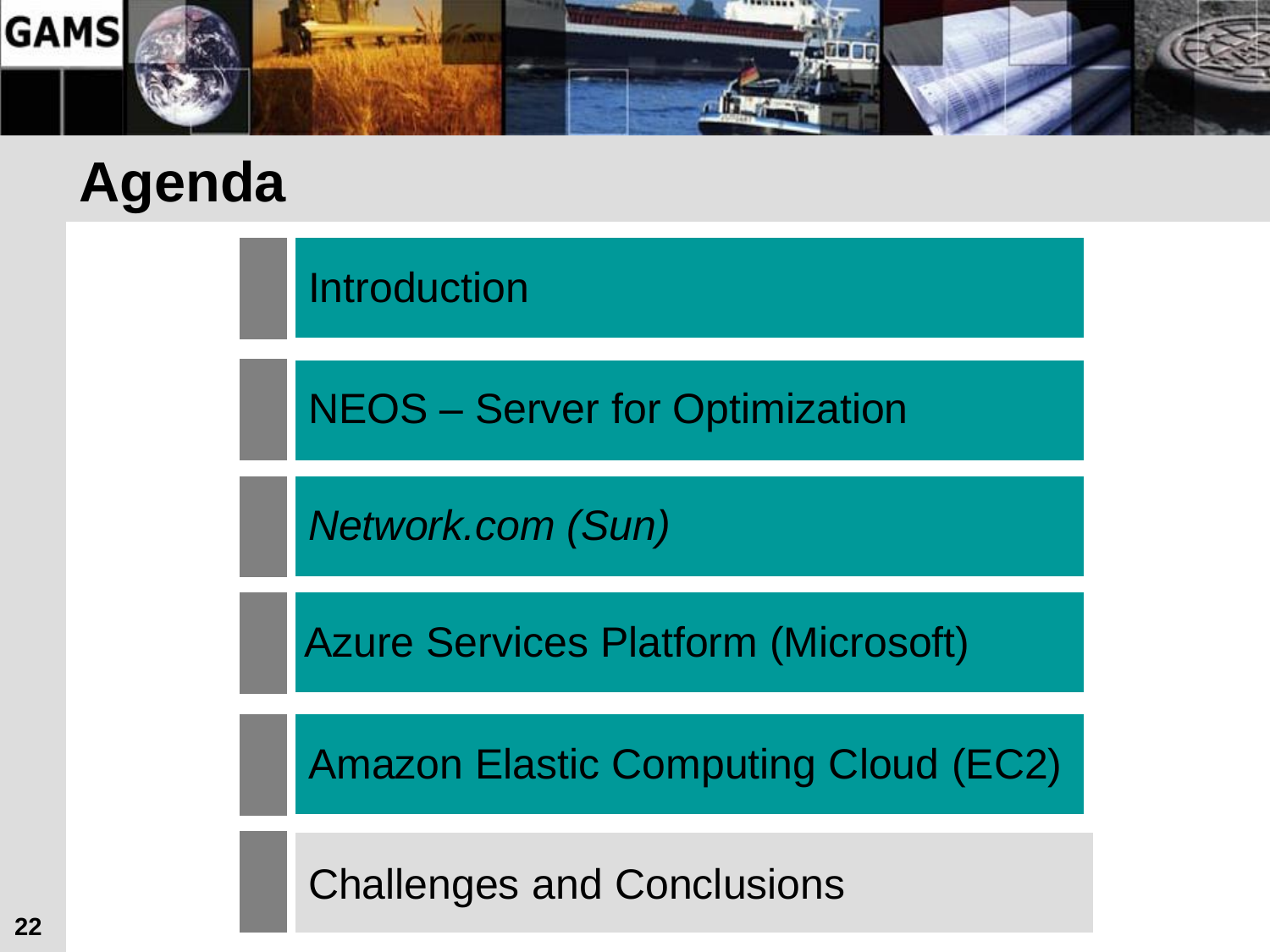

Introduction

NEOS – Server for Optimization

*Network.com (Sun)*

Azure Services Platform (Microsoft)

Amazon Elastic Computing Cloud (EC2)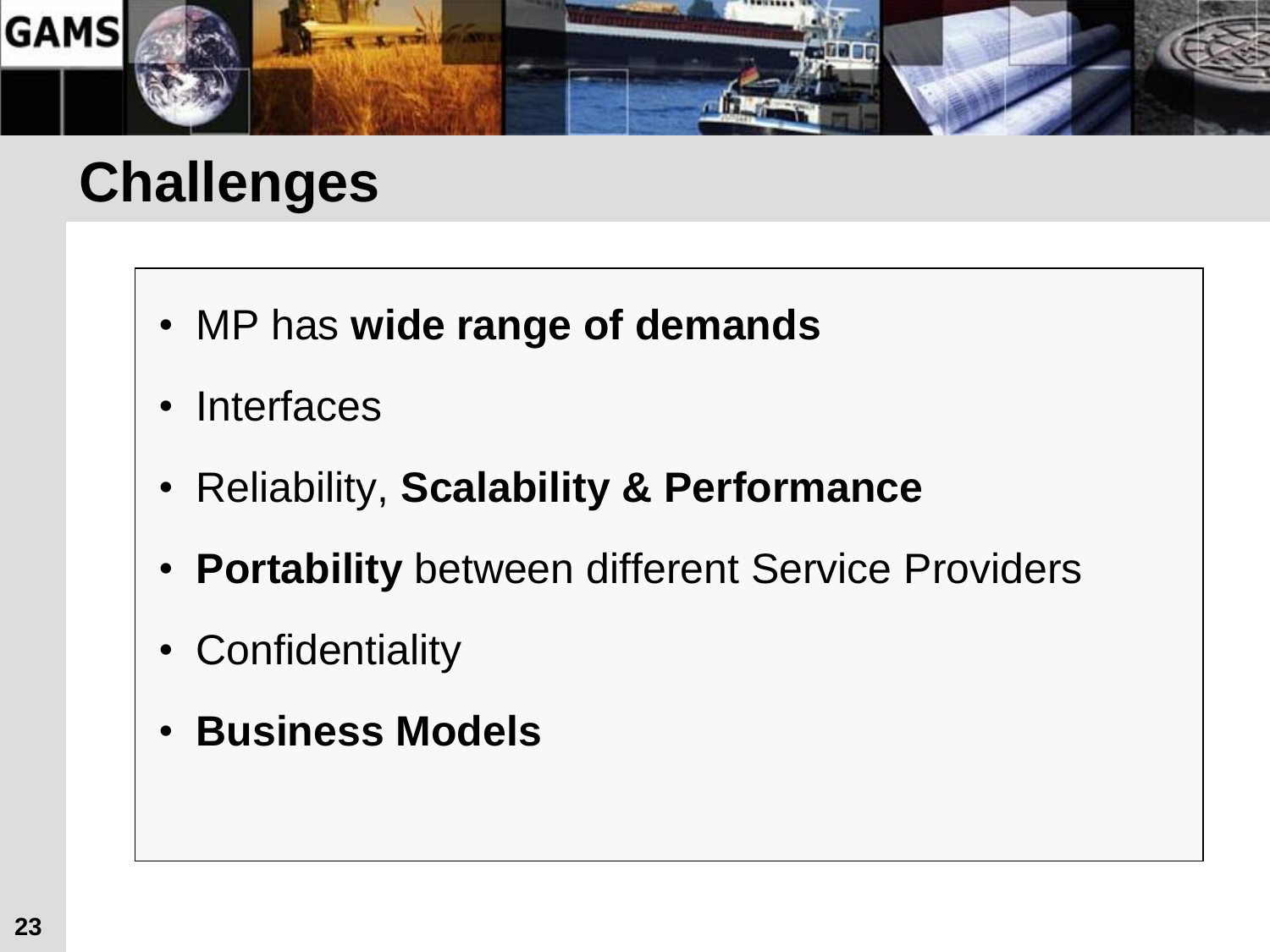

#### **Challenges**

- MP has **wide range of demands**
- Interfaces
- Reliability, **Scalability & Performance**
- **Portability** between different Service Providers
- Confidentiality
- **Business Models**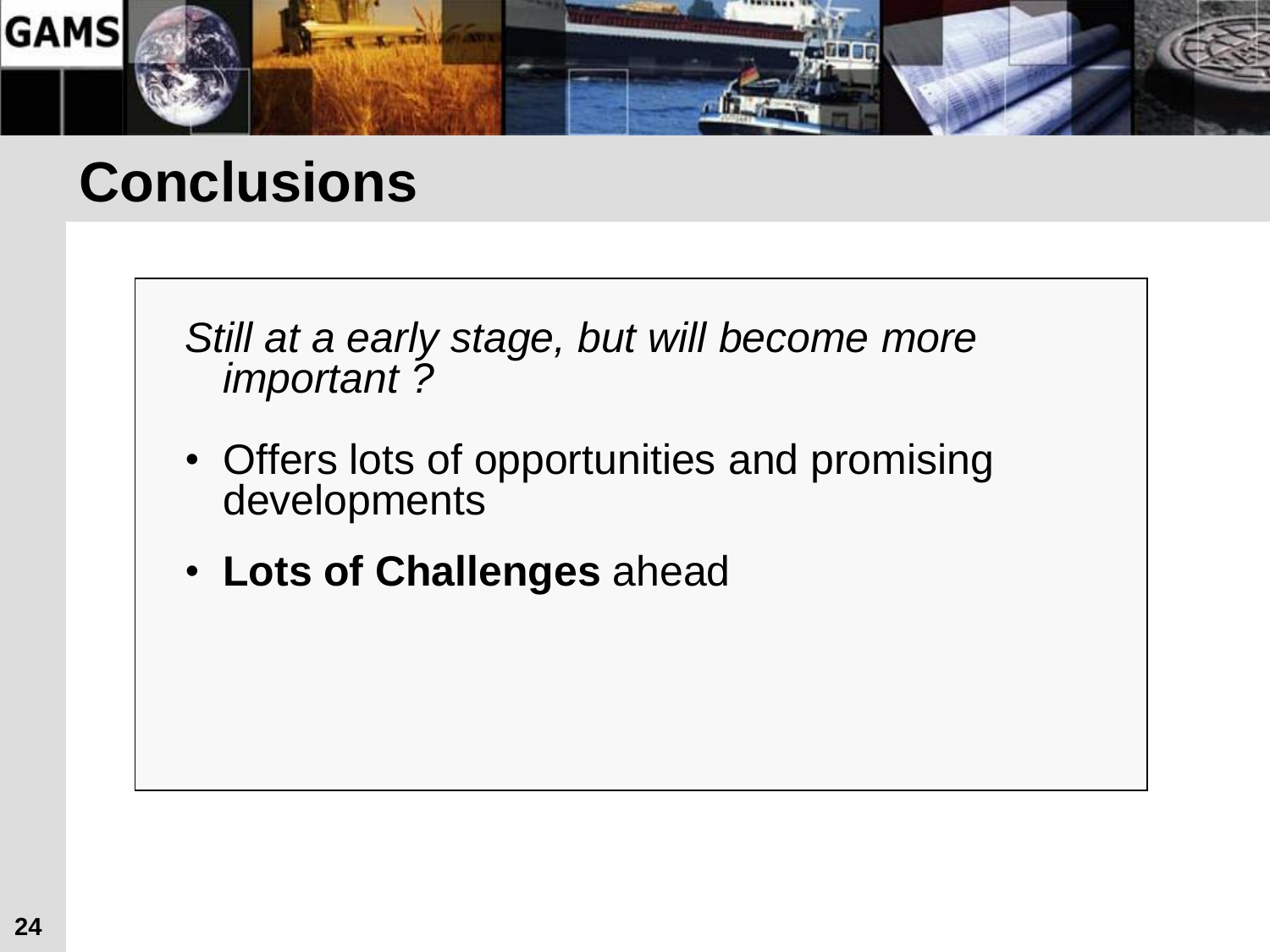

#### **Conclusions**

*Still at a early stage, but will become more important ?* 

- Offers lots of opportunities and promising developments
- **Lots of Challenges** ahead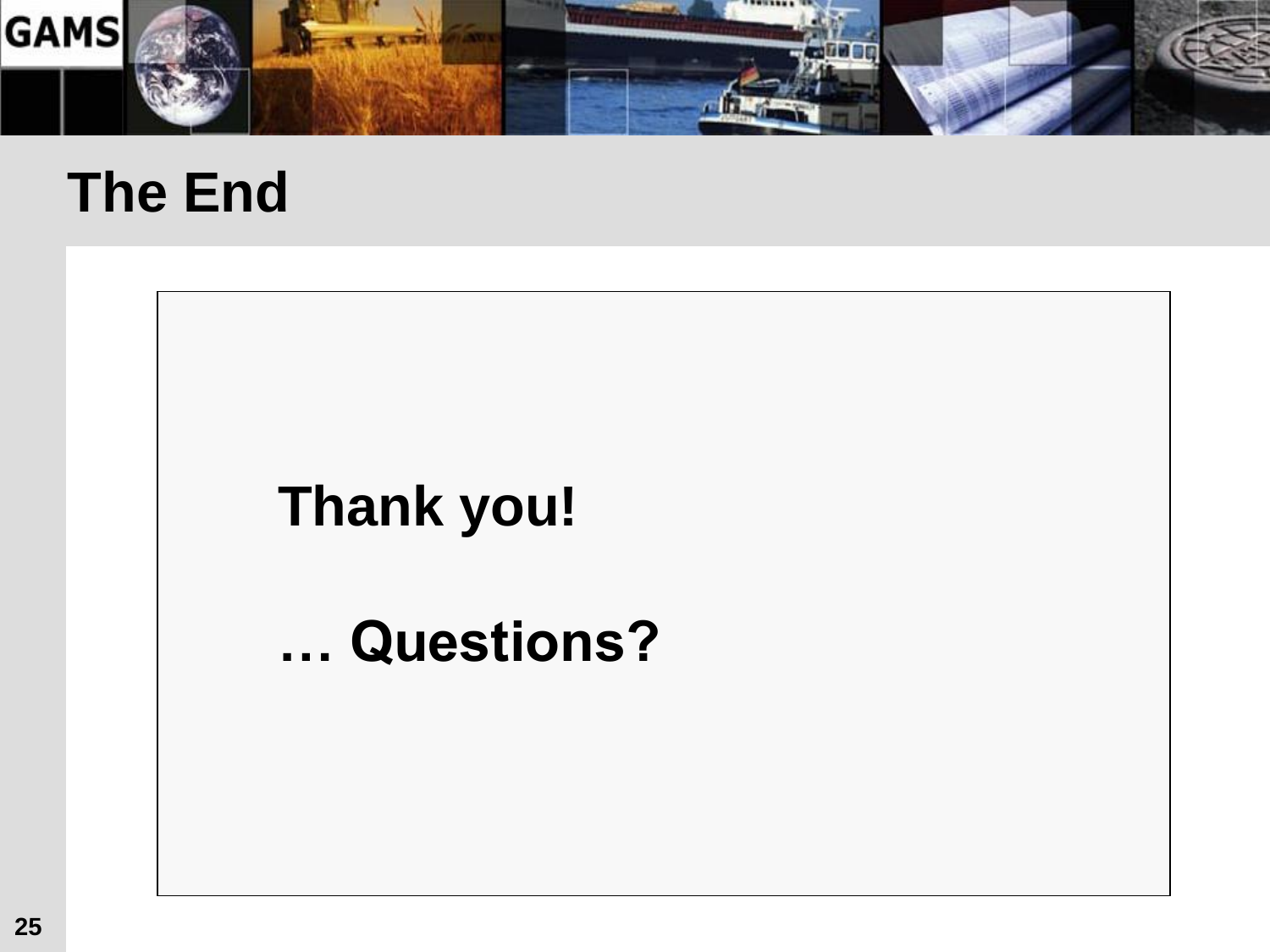

#### **The End**

### **Thank you!**

#### **… Questions?**